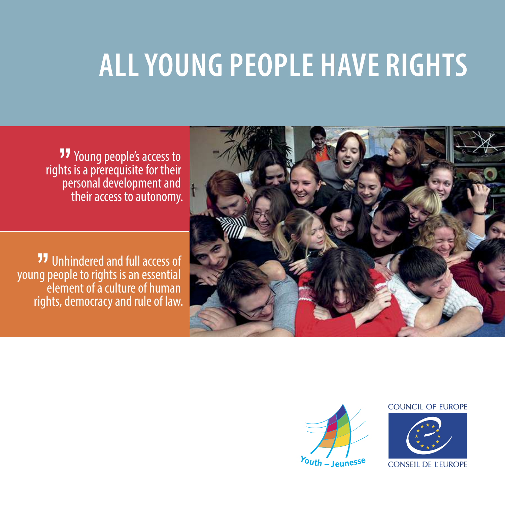## **ALL YOUNG PEOPLE HAVE RIGHTS**

 Young people's access to rights is a prerequisite for their personal development and their access to autonomy.

**77** Unhindered and full access of young people to rights is an essential element of a culture of human rights, democracy and rule of law.





## **COUNCIL OF EUROPE**



**CONSEIL DE L'EUROPE**